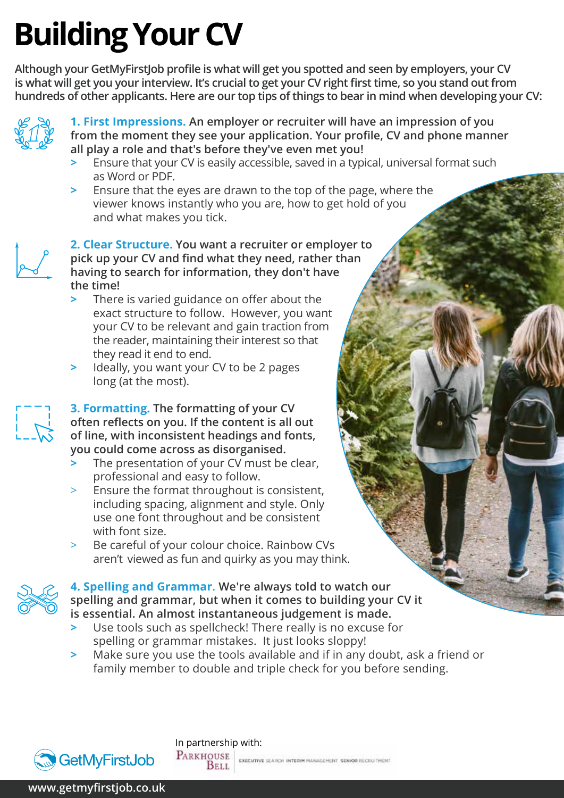# **Building Your CV**

**Although your GetMyFirstJob profile is what will get you spotted and seen by employers, your CV is what will get you your interview. It's crucial to get your CV right first time, so you stand out from hundreds of other applicants. Here are our top tips of things to bear in mind when developing your CV:**



**1. First Impressions. An employer or recruiter will have an impression of you from the moment they see your application. Your profile, CV and phone manner all play a role and that's before they've even met you!**

- **>** Ensure that your CV is easily accessible, saved in a typical, universal format such as Word or PDF.
- **>** Ensure that the eyes are drawn to the top of the page, where the viewer knows instantly who you are, how to get hold of you and what makes you tick.

**2. Clear Structure. You want a recruiter or employer to pick up your CV and find what they need, rather than having to search for information, they don't have the time!**

- There is varied guidance on offer about the exact structure to follow. However, you want your CV to be relevant and gain traction from the reader, maintaining their interest so that they read it end to end.
- **>** Ideally, you want your CV to be 2 pages long (at the most).

**3. Formatting. The formatting of your CV often reflects on you. If the content is all out of line, with inconsistent headings and fonts, you could come across as disorganised.**

- **>** The presentation of your CV must be clear, professional and easy to follow.
- > Ensure the format throughout is consistent, including spacing, alignment and style. Only use one font throughout and be consistent with font size.
- Be careful of your colour choice. Rainbow CVs aren't viewed as fun and quirky as you may think.



 $\frac{1}{L}$ 

**4. Spelling and Grammar. We're always told to watch our spelling and grammar, but when it comes to building your CV it is essential. An almost instantaneous judgement is made.**

- **>** Use tools such as spellcheck! There really is no excuse for spelling or grammar mistakes. It just looks sloppy!
- **>** Make sure you use the tools available and if in any doubt, ask a friend or family member to double and triple check for you before sending.



In partnership with: PARKHOUSE EXECUTIVE SEARCH INTERIM MANAGEMENT SENIOR RECRUITMENT Bell